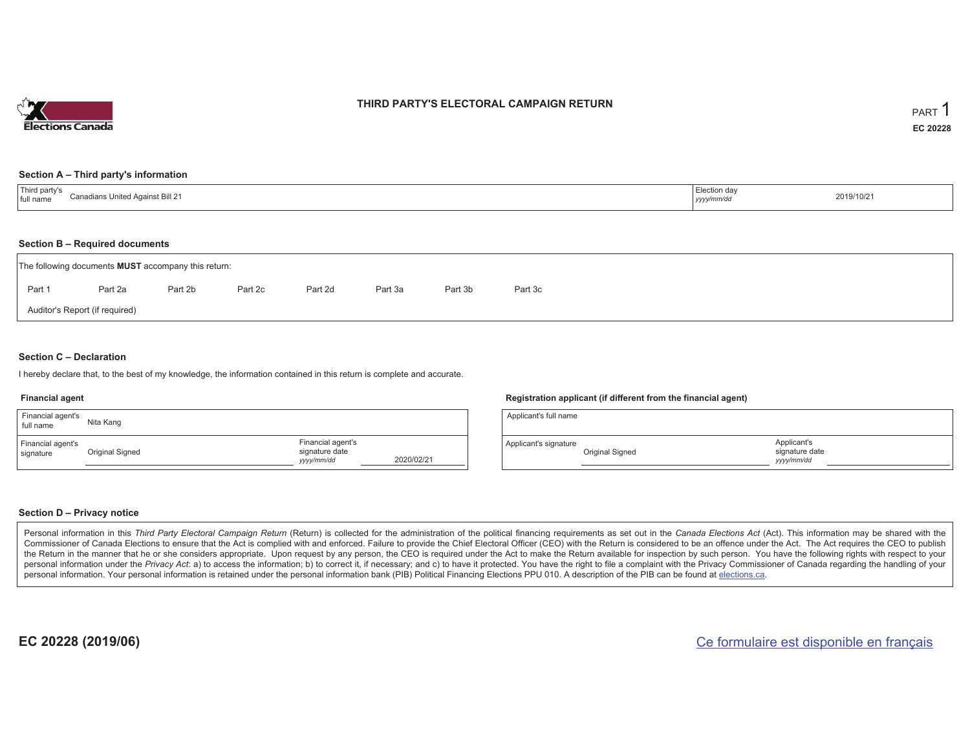

#### **THIRD PARTY'S ELECTORAL CAMPAIGN RETURN**

#### **Section A – Third party's information**

| $\pm$ Third narty $\sim$<br>Canadia.<br>dians United Against Bill 21ب،<br>I full name | :ction da∖<br>-------<br>yyyy/mm/dd | 2019/10/21 |
|---------------------------------------------------------------------------------------|-------------------------------------|------------|
|---------------------------------------------------------------------------------------|-------------------------------------|------------|

#### **Section B – Required documents**

| The following documents <b>MUST</b> accompany this return: |         |         |         |         |         |         |         |  |  |  |  |  |
|------------------------------------------------------------|---------|---------|---------|---------|---------|---------|---------|--|--|--|--|--|
| Part 1                                                     | Part 2a | Part 2b | Part 2c | Part 2d | Part 3a | Part 3b | Part 3c |  |  |  |  |  |
| Auditor's Report (if required)                             |         |         |         |         |         |         |         |  |  |  |  |  |

#### **Section C – Declaration**

I hereby declare that, to the best of my knowledge, the information contained in this return is complete and accurate.

#### **Financial agent**

| Financial agent's<br>full name | Nita Kang       |                                                   |            |
|--------------------------------|-----------------|---------------------------------------------------|------------|
| Financial agent's<br>signature | Original Signed | Financial agent's<br>signature date<br>yyyy/mm/dd | 2020/02/21 |

#### **Registration applicant (if different from the financial agent)**

| Applicant's full name |                 |                                             |  |
|-----------------------|-----------------|---------------------------------------------|--|
| Applicant's signature | Original Signed | Applicant's<br>signature date<br>yyyy/mm/dd |  |

#### **Section D – Privacy notice**

Personal information in this Third Party Electoral Campaign Return (Return) is collected for the administration of the political financing requirements as set out in the Canada Elections Act (Act). This information may be Commissioner of Canada Elections to ensure that the Act is complied with and enforced. Failure to provide the Chief Electoral Officer (CEO) with the Return is considered to be an offence under the Act. The Act requires the the Return in the manner that he or she considers appropriate. Upon request by any person, the CEO is required under the Act to make the Return available for inspection by such person. You have the following rights with re personal information under the Privacy Act: a) to access the information; b) to correct it, if necessary; and c) to have it protected. You have the right to file a complaint with the Privacy Commissioner of Canada regardin personal information. Your personal information is retained under the personal information bank (PIB) Political Financing Elections PPU 010. A description of the PIB can be found at elections.ca.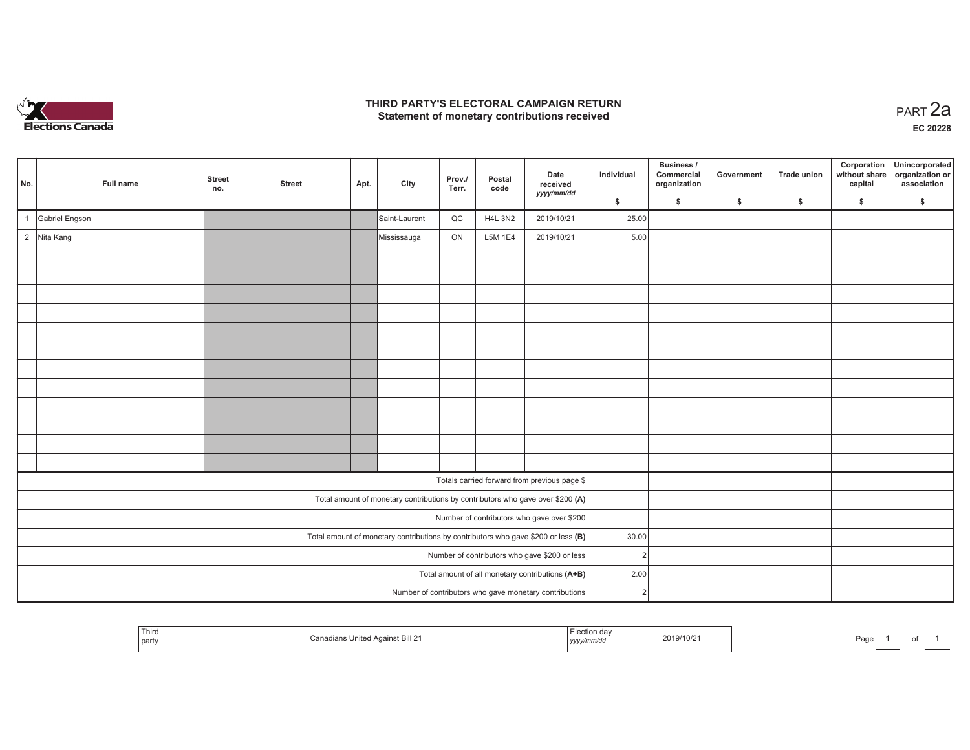

### **THIRD PARTY'S ELECTORAL CAMPAIGN RETURN HIRD PARTY'S ELECTORAL CAMPAIGN RETURN<br>Statement of monetary contributions received PART 2a**

**EC 20228**

| No.                                              | Full name      | <b>Street</b><br>no. | <b>Street</b> | Apt. | City          | Prov./<br>Terr. | Postal<br>code | Date<br>received<br>yyyy/mm/dd                                                    | Individual     | Business /<br>Commercial<br>organization | Government | <b>Trade union</b> | Corporation<br>without share<br>capital | Unincorporated<br>organization or<br>association |
|--------------------------------------------------|----------------|----------------------|---------------|------|---------------|-----------------|----------------|-----------------------------------------------------------------------------------|----------------|------------------------------------------|------------|--------------------|-----------------------------------------|--------------------------------------------------|
|                                                  |                |                      |               |      |               |                 |                |                                                                                   | \$             | $\mathsf{s}$                             | \$         | S.                 | \$                                      | \$                                               |
|                                                  | Gabriel Engson |                      |               |      | Saint-Laurent | $_{\rm QC}$     | <b>H4L 3N2</b> | 2019/10/21                                                                        | 25.00          |                                          |            |                    |                                         |                                                  |
|                                                  | 2 Nita Kang    |                      |               |      | Mississauga   | ON              | L5M 1E4        | 2019/10/21                                                                        | 5.00           |                                          |            |                    |                                         |                                                  |
|                                                  |                |                      |               |      |               |                 |                |                                                                                   |                |                                          |            |                    |                                         |                                                  |
|                                                  |                |                      |               |      |               |                 |                |                                                                                   |                |                                          |            |                    |                                         |                                                  |
|                                                  |                |                      |               |      |               |                 |                |                                                                                   |                |                                          |            |                    |                                         |                                                  |
|                                                  |                |                      |               |      |               |                 |                |                                                                                   |                |                                          |            |                    |                                         |                                                  |
|                                                  |                |                      |               |      |               |                 |                |                                                                                   |                |                                          |            |                    |                                         |                                                  |
|                                                  |                |                      |               |      |               |                 |                |                                                                                   |                |                                          |            |                    |                                         |                                                  |
|                                                  |                |                      |               |      |               |                 |                |                                                                                   |                |                                          |            |                    |                                         |                                                  |
|                                                  |                |                      |               |      |               |                 |                |                                                                                   |                |                                          |            |                    |                                         |                                                  |
|                                                  |                |                      |               |      |               |                 |                |                                                                                   |                |                                          |            |                    |                                         |                                                  |
|                                                  |                |                      |               |      |               |                 |                |                                                                                   |                |                                          |            |                    |                                         |                                                  |
|                                                  |                |                      |               |      |               |                 |                |                                                                                   |                |                                          |            |                    |                                         |                                                  |
|                                                  |                |                      |               |      |               |                 |                |                                                                                   |                |                                          |            |                    |                                         |                                                  |
|                                                  |                |                      |               |      |               |                 |                | Totals carried forward from previous page \$                                      |                |                                          |            |                    |                                         |                                                  |
|                                                  |                |                      |               |      |               |                 |                | Total amount of monetary contributions by contributors who gave over \$200 (A)    |                |                                          |            |                    |                                         |                                                  |
|                                                  |                |                      |               |      |               |                 |                | Number of contributors who gave over \$200                                        |                |                                          |            |                    |                                         |                                                  |
|                                                  |                |                      |               |      |               |                 |                | Total amount of monetary contributions by contributors who gave \$200 or less (B) | 30.00          |                                          |            |                    |                                         |                                                  |
| Number of contributors who gave \$200 or less    |                |                      |               |      |               |                 |                |                                                                                   |                | $\overline{2}$                           |            |                    |                                         |                                                  |
| Total amount of all monetary contributions (A+B) |                |                      |               |      |               |                 |                |                                                                                   |                | 2.00                                     |            |                    |                                         |                                                  |
|                                                  |                |                      |               |      |               |                 |                | Number of contributors who gave monetary contributions                            | $\overline{2}$ |                                          |            |                    |                                         |                                                  |

| $- \cdot$<br>l hird<br>s United Against Bill 21<br>`part\ | ection dav<br>2019/10/21<br>.<br>v/mm/o<br>, уууулг | $a$ aqe<br>______ |
|-----------------------------------------------------------|-----------------------------------------------------|-------------------|
|-----------------------------------------------------------|-----------------------------------------------------|-------------------|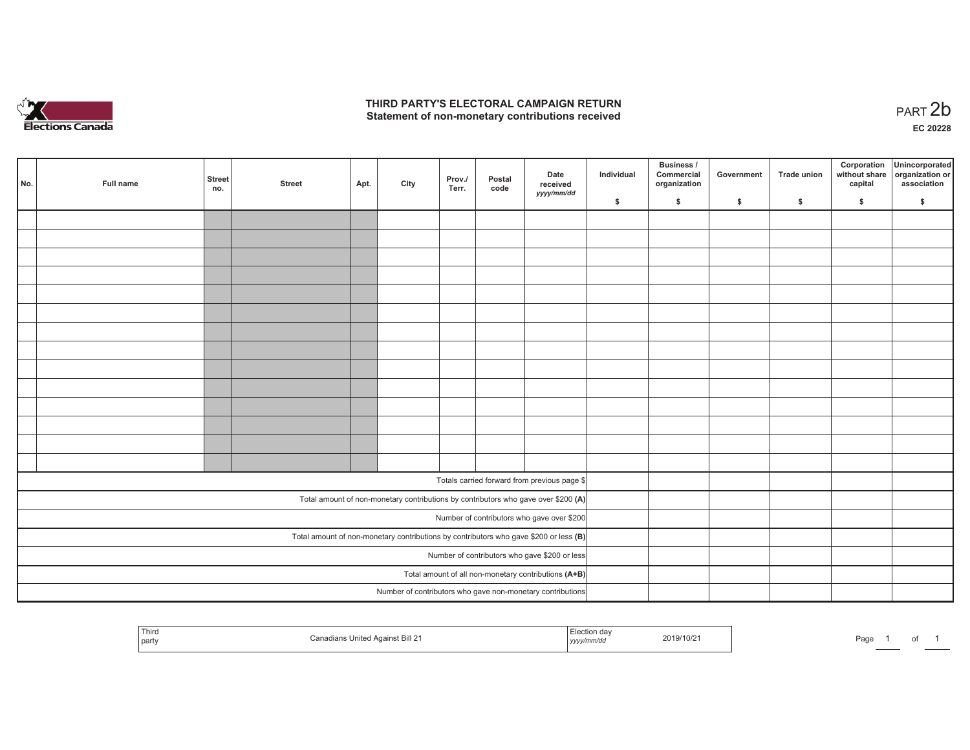

## **THIRD PARTY'S ELECTORAL CAMPAIGN RETURN**  THIRD PARTY'S ELECTORAL CAMPAIGN RETURN<br>Statement of non-monetary contributions received<br> **PART 2b**

of 1

| No. | Full name | <b>Street</b><br>no.                                 | <b>Street</b> | Apt. | City | Prov./<br>Terr. | Postal<br>code | Date<br>received<br>yyyy/mm/dd                                                          | Individual | <b>Business /</b><br>Commercial<br>organization | Government   | Trade union  | Corporation<br>without share<br>capital | Unincorporated<br>organization or<br>association |
|-----|-----------|------------------------------------------------------|---------------|------|------|-----------------|----------------|-----------------------------------------------------------------------------------------|------------|-------------------------------------------------|--------------|--------------|-----------------------------------------|--------------------------------------------------|
|     |           |                                                      |               |      |      |                 |                |                                                                                         | \$         | \$                                              | $\mathsf{s}$ | $\mathbf{s}$ | \$                                      | \$                                               |
|     |           |                                                      |               |      |      |                 |                |                                                                                         |            |                                                 |              |              |                                         |                                                  |
|     |           |                                                      |               |      |      |                 |                |                                                                                         |            |                                                 |              |              |                                         |                                                  |
|     |           |                                                      |               |      |      |                 |                |                                                                                         |            |                                                 |              |              |                                         |                                                  |
|     |           |                                                      |               |      |      |                 |                |                                                                                         |            |                                                 |              |              |                                         |                                                  |
|     |           |                                                      |               |      |      |                 |                |                                                                                         |            |                                                 |              |              |                                         |                                                  |
|     |           |                                                      |               |      |      |                 |                |                                                                                         |            |                                                 |              |              |                                         |                                                  |
|     |           |                                                      |               |      |      |                 |                |                                                                                         |            |                                                 |              |              |                                         |                                                  |
|     |           |                                                      |               |      |      |                 |                |                                                                                         |            |                                                 |              |              |                                         |                                                  |
|     |           |                                                      |               |      |      |                 |                |                                                                                         |            |                                                 |              |              |                                         |                                                  |
|     |           |                                                      |               |      |      |                 |                |                                                                                         |            |                                                 |              |              |                                         |                                                  |
|     |           |                                                      |               |      |      |                 |                |                                                                                         |            |                                                 |              |              |                                         |                                                  |
|     |           |                                                      |               |      |      |                 |                |                                                                                         |            |                                                 |              |              |                                         |                                                  |
|     |           |                                                      |               |      |      |                 |                |                                                                                         |            |                                                 |              |              |                                         |                                                  |
|     |           |                                                      |               |      |      |                 |                |                                                                                         |            |                                                 |              |              |                                         |                                                  |
|     |           |                                                      |               |      |      |                 |                |                                                                                         |            |                                                 |              |              |                                         |                                                  |
|     |           |                                                      |               |      |      |                 |                | Totals carried forward from previous page \$                                            |            |                                                 |              |              |                                         |                                                  |
|     |           |                                                      |               |      |      |                 |                | Total amount of non-monetary contributions by contributors who gave over \$200 (A)      |            |                                                 |              |              |                                         |                                                  |
|     |           |                                                      |               |      |      |                 |                | Number of contributors who gave over \$200                                              |            |                                                 |              |              |                                         |                                                  |
|     |           |                                                      |               |      |      |                 |                | Total amount of non-monetary contributions by contributors who gave \$200 or less $(B)$ |            |                                                 |              |              |                                         |                                                  |
|     |           |                                                      |               |      |      |                 |                | Number of contributors who gave \$200 or less                                           |            |                                                 |              |              |                                         |                                                  |
|     |           | Total amount of all non-monetary contributions (A+B) |               |      |      |                 |                |                                                                                         |            |                                                 |              |              |                                         |                                                  |
|     |           |                                                      |               |      |      |                 |                | Number of contributors who gave non-monetary contributions                              |            |                                                 |              |              |                                         |                                                  |
|     |           |                                                      |               |      |      |                 |                |                                                                                         |            |                                                 |              |              |                                         |                                                  |

| Third<br>party | Against Bill 21<br>United | i dər<br>2019/10/2<br>mm/du<br>the contract of the contract of the contract of<br>,,,,, | Pag∈<br><b>Contract Contract</b> |
|----------------|---------------------------|-----------------------------------------------------------------------------------------|----------------------------------|
|----------------|---------------------------|-----------------------------------------------------------------------------------------|----------------------------------|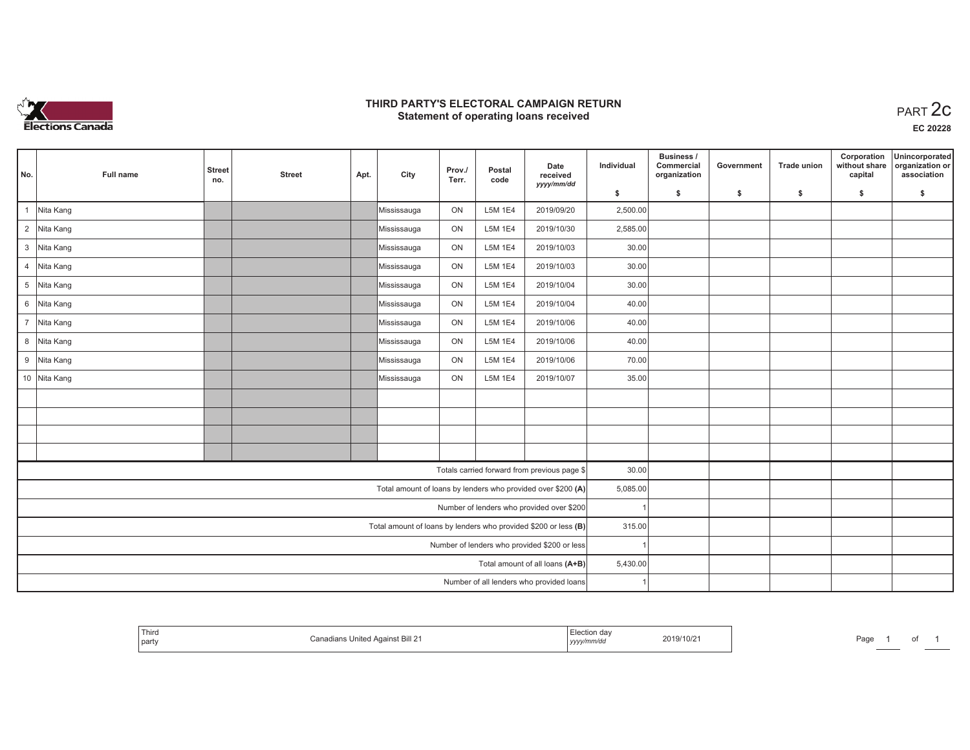

## **THIRD PARTY'S ELECTORAL CAMPAIGN RETURN STATE:** PRACT OF OPPRESS TO PART 2C STATE STATE STATE STATE STATE STATE STATE STATE STATE START 2C STATE STATE STATE STATE STATE STATE STATE STATE STATE STATE STATE STATE STATE STATE STATE STATE STATE STATE STATE STATE ST

**EC 20228**

| No.                                          | Full name    | <b>Street</b><br>no. | <b>Street</b> | Apt. | City        | Prov./<br>Terr. | Postal<br>code | Date<br>received<br>yyyy/mm/dd                                  | Individual | <b>Business /</b><br>Commercial<br>organization | Government | Trade union | Corporation<br>without share<br>capital | Unincorporated<br>organization or<br>association |
|----------------------------------------------|--------------|----------------------|---------------|------|-------------|-----------------|----------------|-----------------------------------------------------------------|------------|-------------------------------------------------|------------|-------------|-----------------------------------------|--------------------------------------------------|
|                                              |              |                      |               |      |             |                 |                |                                                                 | \$         | \$                                              | \$         | \$          | \$                                      | \$                                               |
| $\overline{1}$                               | Nita Kang    |                      |               |      | Mississauga | ON              | L5M 1E4        | 2019/09/20                                                      | 2,500.00   |                                                 |            |             |                                         |                                                  |
|                                              | 2 Nita Kang  |                      |               |      | Mississauga | ON              | L5M 1E4        | 2019/10/30                                                      | 2,585.00   |                                                 |            |             |                                         |                                                  |
|                                              | 3 Nita Kang  |                      |               |      | Mississauga | ON              | L5M 1E4        | 2019/10/03                                                      | 30.00      |                                                 |            |             |                                         |                                                  |
|                                              | 4 Nita Kang  |                      |               |      | Mississauga | ON              | L5M 1E4        | 2019/10/03                                                      | 30.00      |                                                 |            |             |                                         |                                                  |
|                                              | 5 Nita Kang  |                      |               |      | Mississauga | ON              | L5M 1E4        | 2019/10/04                                                      | 30.00      |                                                 |            |             |                                         |                                                  |
|                                              | 6 Nita Kang  |                      |               |      | Mississauga | ON              | L5M 1E4        | 2019/10/04                                                      | 40.00      |                                                 |            |             |                                         |                                                  |
|                                              | 7 Nita Kang  |                      |               |      | Mississauga | ON              | L5M 1E4        | 2019/10/06                                                      | 40.00      |                                                 |            |             |                                         |                                                  |
|                                              | 8 Nita Kang  |                      |               |      | Mississauga | ON              | L5M 1E4        | 2019/10/06                                                      | 40.00      |                                                 |            |             |                                         |                                                  |
|                                              | 9 Nita Kang  |                      |               |      | Mississauga | ON              | L5M 1E4        | 2019/10/06                                                      | 70.00      |                                                 |            |             |                                         |                                                  |
|                                              | 10 Nita Kang |                      |               |      | Mississauga | ON              | L5M 1E4        | 2019/10/07                                                      | 35.00      |                                                 |            |             |                                         |                                                  |
|                                              |              |                      |               |      |             |                 |                |                                                                 |            |                                                 |            |             |                                         |                                                  |
|                                              |              |                      |               |      |             |                 |                |                                                                 |            |                                                 |            |             |                                         |                                                  |
|                                              |              |                      |               |      |             |                 |                |                                                                 |            |                                                 |            |             |                                         |                                                  |
|                                              |              |                      |               |      |             |                 |                |                                                                 |            |                                                 |            |             |                                         |                                                  |
|                                              |              |                      |               |      |             |                 |                | Totals carried forward from previous page \$                    | 30.00      |                                                 |            |             |                                         |                                                  |
|                                              |              |                      |               |      |             |                 |                | Total amount of loans by lenders who provided over \$200 (A)    | 5,085.00   |                                                 |            |             |                                         |                                                  |
|                                              |              |                      |               |      |             |                 |                | Number of lenders who provided over \$200                       |            |                                                 |            |             |                                         |                                                  |
|                                              |              |                      |               |      |             |                 |                | Total amount of loans by lenders who provided \$200 or less (B) | 315.00     |                                                 |            |             |                                         |                                                  |
| Number of lenders who provided \$200 or less |              |                      |               |      |             |                 |                |                                                                 |            |                                                 |            |             |                                         |                                                  |
|                                              |              |                      |               |      |             |                 |                | Total amount of all loans (A+B)                                 | 5,430.00   |                                                 |            |             |                                         |                                                  |
|                                              |              |                      |               |      |             |                 |                | Number of all lenders who provided loans                        |            |                                                 |            |             |                                         |                                                  |

| <b>Third</b><br>party | Against Bill 21 | yyyymmvao | 2019/10/21 | $P$ aq $\epsilon$ |  | υι |  |
|-----------------------|-----------------|-----------|------------|-------------------|--|----|--|
|-----------------------|-----------------|-----------|------------|-------------------|--|----|--|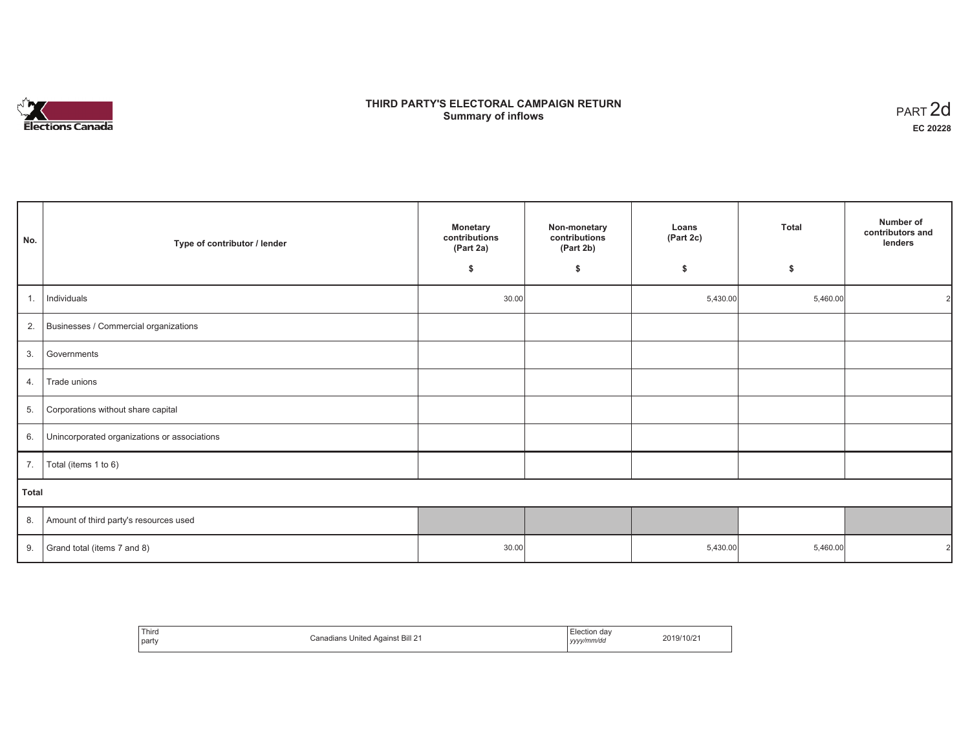# **Elections Canada**

# **THIRD PARTY'S ELECTORAL CAMPAIGN RETURN Summary of inflows**

| PART 2d  |
|----------|
| EC 20228 |

| No.          | Type of contributor / lender                 | <b>Monetary</b><br>contributions<br>(Part 2a) | Non-monetary<br>contributions<br>(Part 2b) | Loans<br>(Part 2c) | <b>Total</b> | Number of<br>contributors and<br>lenders |
|--------------|----------------------------------------------|-----------------------------------------------|--------------------------------------------|--------------------|--------------|------------------------------------------|
|              |                                              | \$                                            | \$                                         | \$                 | \$           |                                          |
| 1.           | Individuals                                  | 30.00                                         |                                            | 5,430.00           | 5,460.00     | 21                                       |
| 2.           | Businesses / Commercial organizations        |                                               |                                            |                    |              |                                          |
| 3.           | Governments                                  |                                               |                                            |                    |              |                                          |
| 4.           | Trade unions                                 |                                               |                                            |                    |              |                                          |
| 5.           | Corporations without share capital           |                                               |                                            |                    |              |                                          |
| 6.           | Unincorporated organizations or associations |                                               |                                            |                    |              |                                          |
| 7.           | Total (items 1 to 6)                         |                                               |                                            |                    |              |                                          |
| <b>Total</b> |                                              |                                               |                                            |                    |              |                                          |
| 8.           | Amount of third party's resources used       |                                               |                                            |                    |              |                                          |
| 9.           | Grand total (items 7 and 8)                  | 30.00                                         |                                            | 5,430.00           | 5,460.00     |                                          |

| Third<br>party | Canadians United Against Bill 21 | :lection dav<br>$\cdots$<br>yyyy/mm/dd | 2019/10/21 |
|----------------|----------------------------------|----------------------------------------|------------|
|----------------|----------------------------------|----------------------------------------|------------|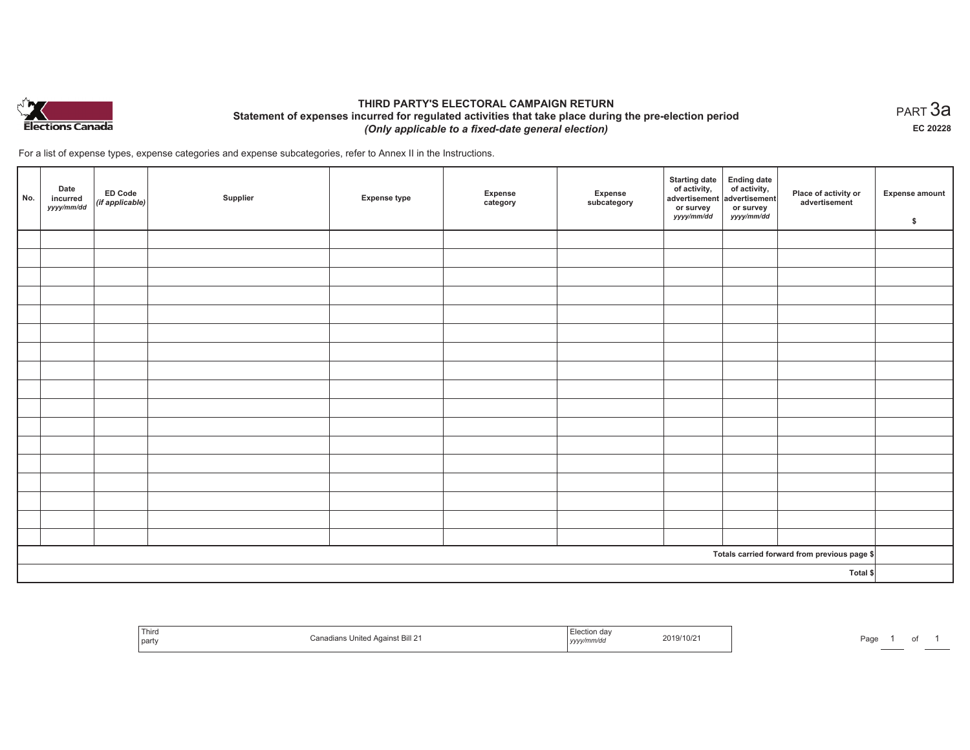

## **THIRD PARTY'S ELECTORAL CAMPAIGN RETURN Statement of expenses incurred for regulated activities that take place during the pre-election period**  *(Only applicable to a fixed-date general election)*

For a list of expense types, expense categories and expense subcategories, refer to Annex II in the Instructions.

| No. | Date<br>incurred<br>yyyy/mm/dd | <b>ED Code</b><br>$($ if applicable $)$ | Supplier | <b>Expense type</b> | Expense<br>category | Expense<br>subcategory | <b>Starting date</b><br>of activity,<br>advertisement<br>or survey<br>yyyy/mm/dd | Ending date<br>of activity,<br>advertisement<br>or survey<br>yyyy/mm/dd | Place of activity or<br>advertisement        | <b>Expense amount</b><br>\$ |
|-----|--------------------------------|-----------------------------------------|----------|---------------------|---------------------|------------------------|----------------------------------------------------------------------------------|-------------------------------------------------------------------------|----------------------------------------------|-----------------------------|
|     |                                |                                         |          |                     |                     |                        |                                                                                  |                                                                         |                                              |                             |
|     |                                |                                         |          |                     |                     |                        |                                                                                  |                                                                         |                                              |                             |
|     |                                |                                         |          |                     |                     |                        |                                                                                  |                                                                         |                                              |                             |
|     |                                |                                         |          |                     |                     |                        |                                                                                  |                                                                         |                                              |                             |
|     |                                |                                         |          |                     |                     |                        |                                                                                  |                                                                         |                                              |                             |
|     |                                |                                         |          |                     |                     |                        |                                                                                  |                                                                         |                                              |                             |
|     |                                |                                         |          |                     |                     |                        |                                                                                  |                                                                         |                                              |                             |
|     |                                |                                         |          |                     |                     |                        |                                                                                  |                                                                         |                                              |                             |
|     |                                |                                         |          |                     |                     |                        |                                                                                  |                                                                         |                                              |                             |
|     |                                |                                         |          |                     |                     |                        |                                                                                  |                                                                         |                                              |                             |
|     |                                |                                         |          |                     |                     |                        |                                                                                  |                                                                         |                                              |                             |
|     |                                |                                         |          |                     |                     |                        |                                                                                  |                                                                         |                                              |                             |
|     |                                |                                         |          |                     |                     |                        |                                                                                  |                                                                         |                                              |                             |
|     |                                |                                         |          |                     |                     |                        |                                                                                  |                                                                         |                                              |                             |
|     |                                |                                         |          |                     |                     |                        |                                                                                  |                                                                         |                                              |                             |
|     |                                |                                         |          |                     |                     |                        |                                                                                  |                                                                         |                                              |                             |
|     |                                |                                         |          |                     |                     |                        |                                                                                  |                                                                         |                                              |                             |
|     |                                |                                         |          |                     |                     |                        |                                                                                  |                                                                         | Totals carried forward from previous page \$ |                             |
|     |                                |                                         |          |                     |                     |                        |                                                                                  |                                                                         | Total \$                                     |                             |

| Third<br>part | Canadians United Against Bill 21 | $\overline{\phantom{a}}$<br>:lection<br>⊦da<br>2019/10/21<br>.<br>, yyyy/mm/dd | Page |
|---------------|----------------------------------|--------------------------------------------------------------------------------|------|
|---------------|----------------------------------|--------------------------------------------------------------------------------|------|

 $_{\sf PART}$ 3a **EC 20228**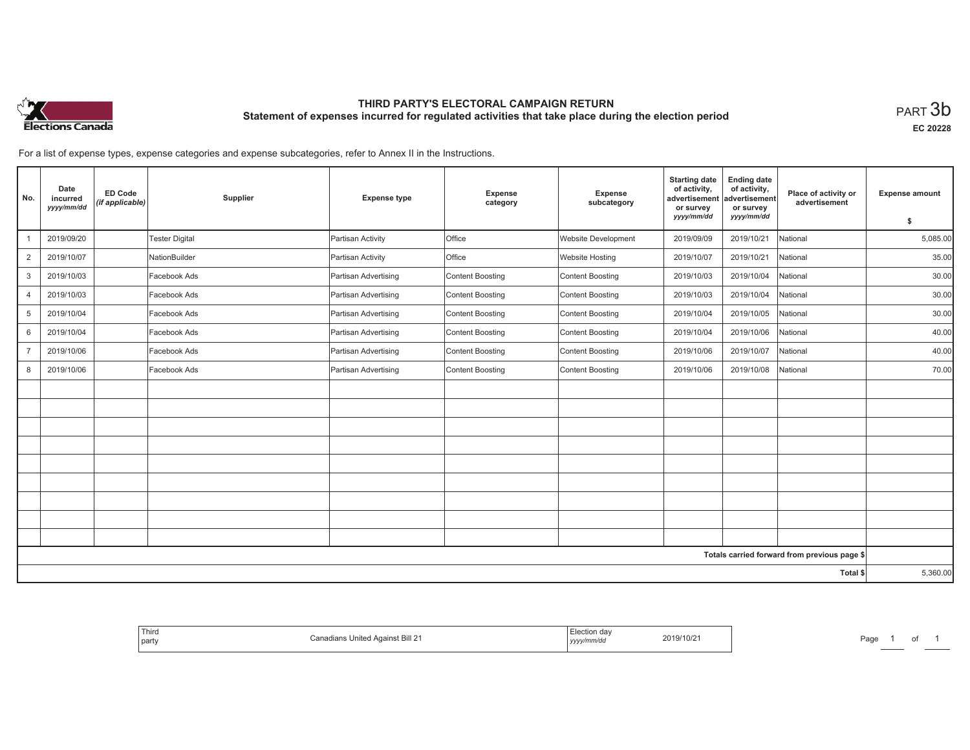

# **THIRD PARTY'S ELECTORAL CAMPAIGN RETURN Statement of expenses incurred for regulated activities that take place during the election period**<br>PART  $3\mathsf{b}$

**EC 20228**

For a list of expense types, expense categories and expense subcategories, refer to Annex II in the Instructions.

| No.            | Date<br>incurred<br>yyyy/mm/dd | <b>ED Code</b><br>(if applicable) | Supplier              | <b>Expense type</b>  | Expense<br>category | Expense<br>subcategory     | <b>Starting date</b><br>of activity,<br>advertisement<br>or survey | <b>Ending date</b><br>of activity,<br>advertisement<br>or survey | Place of activity or<br>advertisement        | <b>Expense amount</b> |
|----------------|--------------------------------|-----------------------------------|-----------------------|----------------------|---------------------|----------------------------|--------------------------------------------------------------------|------------------------------------------------------------------|----------------------------------------------|-----------------------|
|                |                                |                                   |                       |                      |                     |                            | yyyy/mm/dd                                                         | yyyy/mm/dd                                                       |                                              | \$                    |
|                | 2019/09/20                     |                                   | <b>Tester Digital</b> | Partisan Activity    | <b>Office</b>       | <b>Website Development</b> | 2019/09/09                                                         | 2019/10/21                                                       | National                                     | 5,085.00              |
| $\overline{2}$ | 2019/10/07                     |                                   | NationBuilder         | Partisan Activity    | <b>Office</b>       | <b>Website Hosting</b>     | 2019/10/07                                                         | 2019/10/21                                                       | National                                     | 35.00                 |
| 3              | 2019/10/03                     |                                   | Facebook Ads          | Partisan Advertising | Content Boosting    | Content Boosting           | 2019/10/03                                                         | 2019/10/04                                                       | National                                     | 30.00                 |
| $\overline{4}$ | 2019/10/03                     |                                   | Facebook Ads          | Partisan Advertising | Content Boosting    | Content Boosting           | 2019/10/03                                                         | 2019/10/04                                                       | National                                     | 30.00                 |
| 5              | 2019/10/04                     |                                   | Facebook Ads          | Partisan Advertising | Content Boosting    | Content Boosting           | 2019/10/04                                                         | 2019/10/05                                                       | National                                     | 30.00                 |
| 6              | 2019/10/04                     |                                   | Facebook Ads          | Partisan Advertising | Content Boosting    | Content Boosting           | 2019/10/04                                                         | 2019/10/06                                                       | National                                     | 40.00                 |
| $\overline{7}$ | 2019/10/06                     |                                   | Facebook Ads          | Partisan Advertising | Content Boosting    | Content Boosting           | 2019/10/06                                                         | 2019/10/07                                                       | National                                     | 40.00                 |
| 8              | 2019/10/06                     |                                   | Facebook Ads          | Partisan Advertising | Content Boosting    | Content Boosting           | 2019/10/06                                                         | 2019/10/08                                                       | National                                     | 70.00                 |
|                |                                |                                   |                       |                      |                     |                            |                                                                    |                                                                  |                                              |                       |
|                |                                |                                   |                       |                      |                     |                            |                                                                    |                                                                  |                                              |                       |
|                |                                |                                   |                       |                      |                     |                            |                                                                    |                                                                  |                                              |                       |
|                |                                |                                   |                       |                      |                     |                            |                                                                    |                                                                  |                                              |                       |
|                |                                |                                   |                       |                      |                     |                            |                                                                    |                                                                  |                                              |                       |
|                |                                |                                   |                       |                      |                     |                            |                                                                    |                                                                  |                                              |                       |
|                |                                |                                   |                       |                      |                     |                            |                                                                    |                                                                  |                                              |                       |
|                |                                |                                   |                       |                      |                     |                            |                                                                    |                                                                  |                                              |                       |
|                |                                |                                   |                       |                      |                     |                            |                                                                    |                                                                  |                                              |                       |
|                |                                |                                   |                       |                      |                     |                            |                                                                    |                                                                  | Totals carried forward from previous page \$ |                       |
|                |                                |                                   |                       |                      |                     |                            |                                                                    |                                                                  | Total \$                                     | 5,360.00              |

| Election dav | l hird          |
|--------------|-----------------|
|              | Against Bill 21 |
| 2019/10/21   |                 |
|              | Canadians '     |
| , yyyy/mm/dd | United          |
|              | party           |
|              |                 |